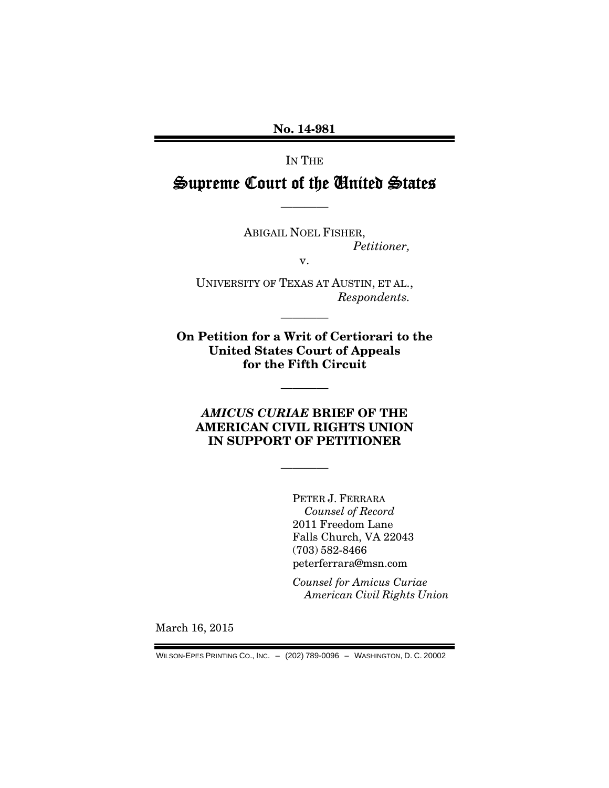No. 14-981

IN THE

# Supreme Court of the United States

————

ABIGAIL NOEL FISHER, *Petitioner,* 

v.

UNIVERSITY OF TEXAS AT AUSTIN, ET AL., *Respondents.* 

————

On Petition for a Writ of Certiorari to the United States Court of Appeals for the Fifth Circuit

————

### *AMICUS CURIAE* BRIEF OF THE AMERICAN CIVIL RIGHTS UNION IN SUPPORT OF PETITIONER

————

PETER J. FERRARA *Counsel of Record*  2011 Freedom Lane Falls Church, VA 22043 (703) 582-8466 peterferrara@msn.com

*Counsel for Amicus Curiae American Civil Rights Union*

March 16, 2015

WILSON-EPES PRINTING CO., INC. – (202) 789-0096 – WASHINGTON, D. C. 20002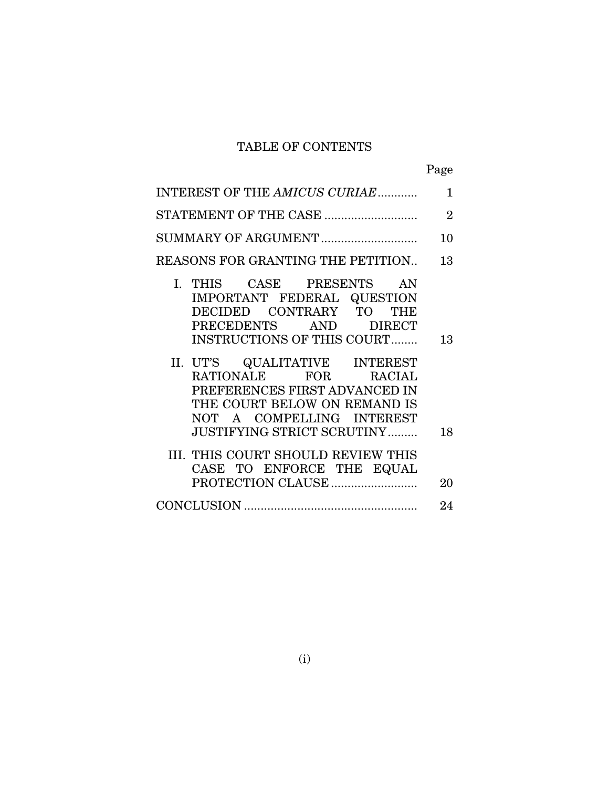# TABLE OF CONTENTS

|--|

| INTEREST OF THE AMICUS CURIAE                                                                                                                                                                                                             | $\mathbf{1}$   |
|-------------------------------------------------------------------------------------------------------------------------------------------------------------------------------------------------------------------------------------------|----------------|
| STATEMENT OF THE CASE                                                                                                                                                                                                                     | $\overline{2}$ |
| SUMMARY OF ARGUMENT                                                                                                                                                                                                                       | 10             |
| REASONS FOR GRANTING THE PETITION                                                                                                                                                                                                         | 13             |
| I. THIS CASE PRESENTS AN<br>IMPORTANT FEDERAL QUESTION<br>DECIDED CONTRARY TO THE<br>PRECEDENTS AND DIRECT<br><b>INSTRUCTIONS OF THIS COURT</b><br>II. UT'S QUALITATIVE INTEREST<br>RATIONALE FOR RACIAL<br>PREFERENCES FIRST ADVANCED IN | 13             |
| THE COURT BELOW ON REMAND IS<br>NOT A COMPELLING INTEREST<br>JUSTIFYING STRICT SCRUTINY<br>III. THIS COURT SHOULD REVIEW THIS<br>CASE TO ENFORCE THE EQUAL                                                                                | 18<br>20       |
|                                                                                                                                                                                                                                           | 24             |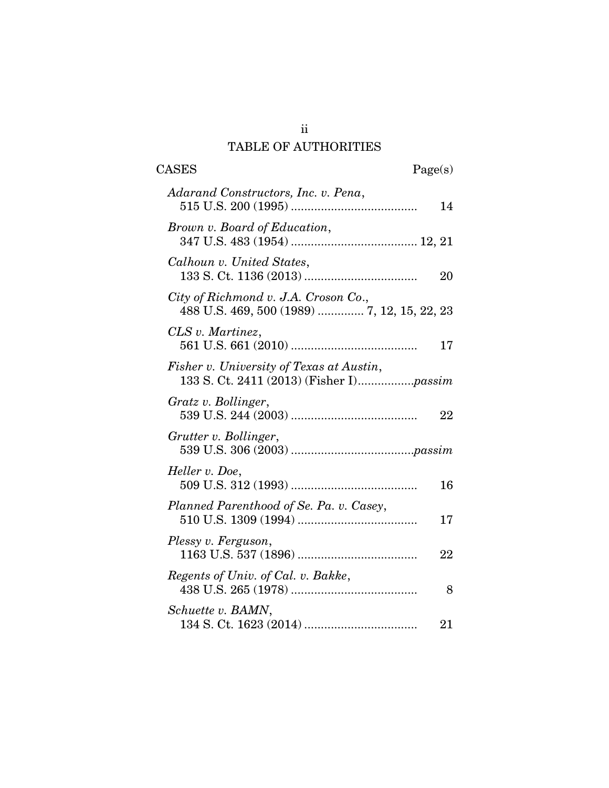# TABLE OF AUTHORITIES

| <b>CASES</b><br>Page(s)                                                             |    |
|-------------------------------------------------------------------------------------|----|
| Adarand Constructors, Inc. v. Pena,                                                 | 14 |
| Brown v. Board of Education,                                                        |    |
| Calhoun v. United States,                                                           | 20 |
| City of Richmond v. J.A. Croson Co.,<br>488 U.S. 469, 500 (1989)  7, 12, 15, 22, 23 |    |
| CLS v. Martinez,                                                                    | 17 |
| Fisher v. University of Texas at Austin,                                            |    |
| Gratz v. Bollinger,                                                                 | 22 |
| Grutter v. Bollinger,                                                               |    |
| Heller v. Doe,                                                                      | 16 |
| Planned Parenthood of Se. Pa. v. Casey,                                             | 17 |
| Plessy v. Ferguson,                                                                 | 22 |
| Regents of Univ. of Cal. v. Bakke,                                                  | 8  |
| Schuette v. BAMN,                                                                   | 21 |

ii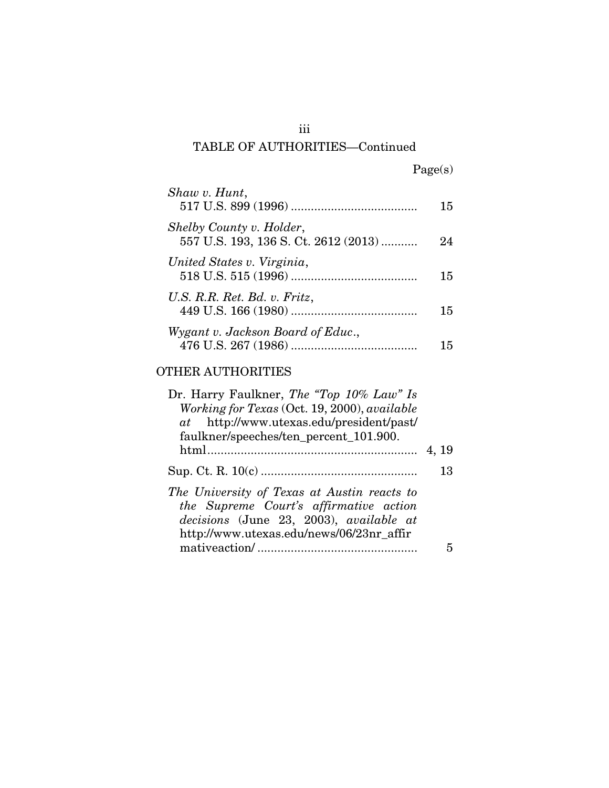# iii TABLE OF AUTHORITIES—Continued

| Shaw v. Hunt,                                                    | 15 |
|------------------------------------------------------------------|----|
| Shelby County v. Holder,<br>557 U.S. 193, 136 S. Ct. 2612 (2013) | 24 |
| United States v. Virginia,                                       | 15 |
| U.S. R.R. Ret. Bd. v. Fritz,                                     | 15 |
| Wygant v. Jackson Board of Educ.,                                | 15 |

## OTHER AUTHORITIES

| Dr. Harry Faulkner, <i>The "Top 10% Law" Is</i><br>Working for Texas (Oct. 19, 2000), available<br>at http://www.utexas.edu/president/past/<br>faulkner/speeches/ten_percent_101.900. |       |
|---------------------------------------------------------------------------------------------------------------------------------------------------------------------------------------|-------|
|                                                                                                                                                                                       | 4, 19 |
|                                                                                                                                                                                       | 13    |
| The University of Texas at Austin reacts to<br>the Supreme Court's affirmative action<br>decisions (June 23, 2003), available at<br>http://www.utexas.edu/news/06/23nr_affir          |       |
|                                                                                                                                                                                       |       |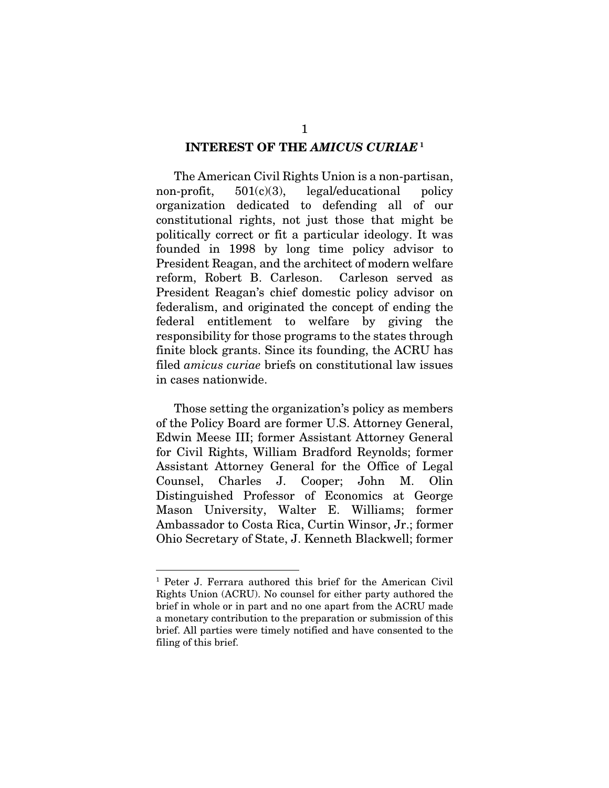#### INTEREST OF THE *AMICUS CURIAE* <sup>1</sup>

 The American Civil Rights Union is a non-partisan, non-profit, 501(c)(3), legal/educational policy organization dedicated to defending all of our constitutional rights, not just those that might be politically correct or fit a particular ideology. It was founded in 1998 by long time policy advisor to President Reagan, and the architect of modern welfare reform, Robert B. Carleson. Carleson served as President Reagan's chief domestic policy advisor on federalism, and originated the concept of ending the federal entitlement to welfare by giving the responsibility for those programs to the states through finite block grants. Since its founding, the ACRU has filed *amicus curiae* briefs on constitutional law issues in cases nationwide.

 Those setting the organization's policy as members of the Policy Board are former U.S. Attorney General, Edwin Meese III; former Assistant Attorney General for Civil Rights, William Bradford Reynolds; former Assistant Attorney General for the Office of Legal Counsel, Charles J. Cooper; John M. Olin Distinguished Professor of Economics at George Mason University, Walter E. Williams; former Ambassador to Costa Rica, Curtin Winsor, Jr.; former Ohio Secretary of State, J. Kenneth Blackwell; former

<u>.</u>

<sup>&</sup>lt;sup>1</sup> Peter J. Ferrara authored this brief for the American Civil Rights Union (ACRU). No counsel for either party authored the brief in whole or in part and no one apart from the ACRU made a monetary contribution to the preparation or submission of this brief. All parties were timely notified and have consented to the filing of this brief.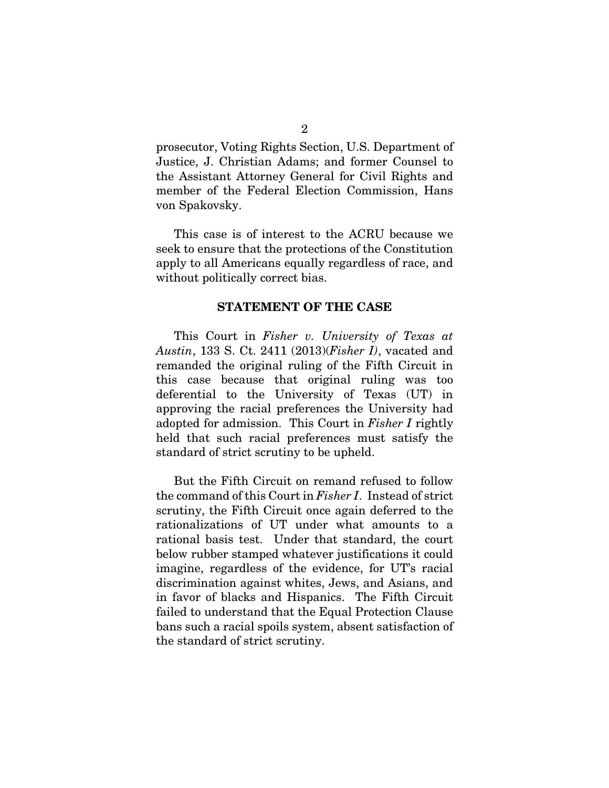prosecutor, Voting Rights Section, U.S. Department of Justice, J. Christian Adams; and former Counsel to the Assistant Attorney General for Civil Rights and member of the Federal Election Commission, Hans von Spakovsky.

This case is of interest to the ACRU because we seek to ensure that the protections of the Constitution apply to all Americans equally regardless of race, and without politically correct bias.

#### STATEMENT OF THE CASE

 This Court in *Fisher v. University of Texas at Austin*, 133 S. Ct. 2411 (2013)(*Fisher I)*, vacated and remanded the original ruling of the Fifth Circuit in this case because that original ruling was too deferential to the University of Texas (UT) in approving the racial preferences the University had adopted for admission. This Court in *Fisher I* rightly held that such racial preferences must satisfy the standard of strict scrutiny to be upheld.

 But the Fifth Circuit on remand refused to follow the command of this Court in *Fisher I*. Instead of strict scrutiny, the Fifth Circuit once again deferred to the rationalizations of UT under what amounts to a rational basis test. Under that standard, the court below rubber stamped whatever justifications it could imagine, regardless of the evidence, for UT's racial discrimination against whites, Jews, and Asians, and in favor of blacks and Hispanics. The Fifth Circuit failed to understand that the Equal Protection Clause bans such a racial spoils system, absent satisfaction of the standard of strict scrutiny.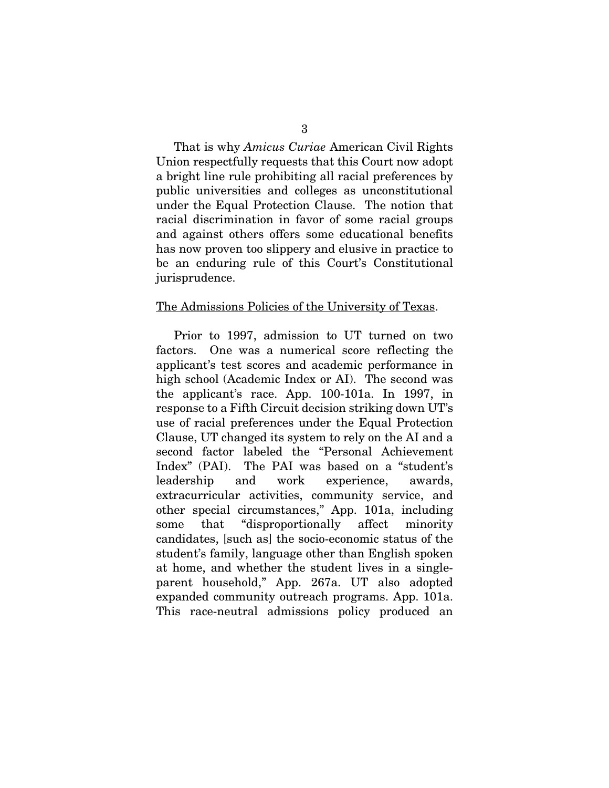That is why *Amicus Curiae* American Civil Rights Union respectfully requests that this Court now adopt a bright line rule prohibiting all racial preferences by public universities and colleges as unconstitutional under the Equal Protection Clause. The notion that racial discrimination in favor of some racial groups and against others offers some educational benefits has now proven too slippery and elusive in practice to be an enduring rule of this Court's Constitutional jurisprudence.

#### The Admissions Policies of the University of Texas.

 Prior to 1997, admission to UT turned on two factors. One was a numerical score reflecting the applicant's test scores and academic performance in high school (Academic Index or AI). The second was the applicant's race. App. 100-101a. In 1997, in response to a Fifth Circuit decision striking down UT's use of racial preferences under the Equal Protection Clause, UT changed its system to rely on the AI and a second factor labeled the "Personal Achievement Index" (PAI). The PAI was based on a "student's leadership and work experience, awards, extracurricular activities, community service, and other special circumstances," App. 101a, including some that "disproportionally affect minority candidates, [such as] the socio-economic status of the student's family, language other than English spoken at home, and whether the student lives in a singleparent household," App. 267a. UT also adopted expanded community outreach programs. App. 101a. This race-neutral admissions policy produced an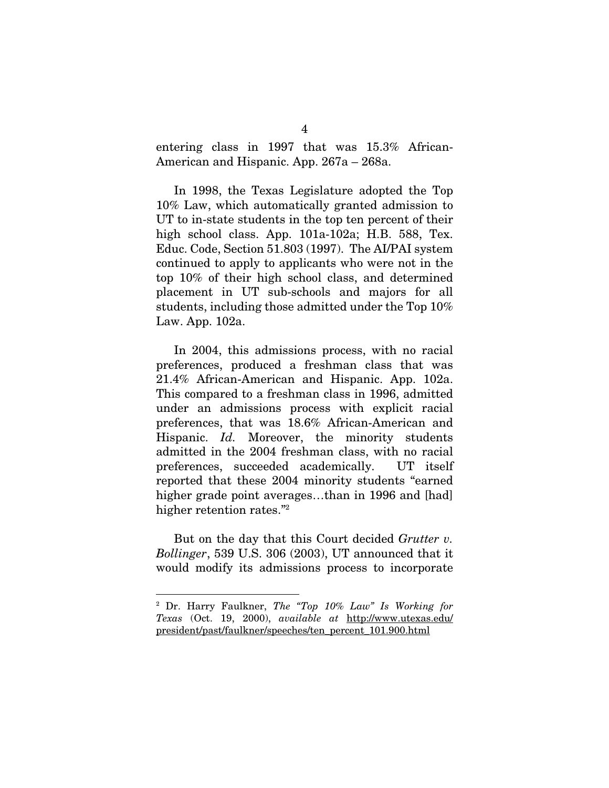entering class in 1997 that was 15.3% African-American and Hispanic. App. 267a – 268a.

 In 1998, the Texas Legislature adopted the Top 10% Law, which automatically granted admission to UT to in-state students in the top ten percent of their high school class. App. 101a-102a; H.B. 588, Tex. Educ. Code, Section 51.803 (1997). The AI/PAI system continued to apply to applicants who were not in the top 10% of their high school class, and determined placement in UT sub-schools and majors for all students, including those admitted under the Top 10% Law. App. 102a.

 In 2004, this admissions process, with no racial preferences, produced a freshman class that was 21.4% African-American and Hispanic. App. 102a. This compared to a freshman class in 1996, admitted under an admissions process with explicit racial preferences, that was 18.6% African-American and Hispanic. *Id.* Moreover, the minority students admitted in the 2004 freshman class, with no racial preferences, succeeded academically. UT itself reported that these 2004 minority students "earned higher grade point averages...than in 1996 and [had] higher retention rates."<sup>2</sup>

 But on the day that this Court decided *Grutter v. Bollinger*, 539 U.S. 306 (2003), UT announced that it would modify its admissions process to incorporate

1

<sup>2</sup> Dr. Harry Faulkner, *The "Top 10% Law" Is Working for Texas* (Oct. 19, 2000), *available at* http://www.utexas.edu/ president/past/faulkner/speeches/ten\_percent\_101.900.html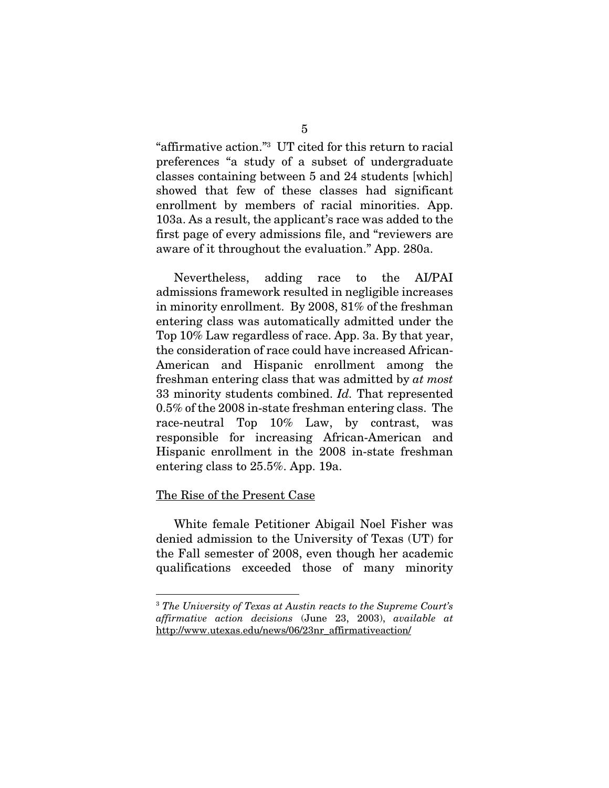"affirmative action."3 UT cited for this return to racial preferences "a study of a subset of undergraduate classes containing between 5 and 24 students [which] showed that few of these classes had significant enrollment by members of racial minorities. App. 103a. As a result, the applicant's race was added to the first page of every admissions file, and "reviewers are aware of it throughout the evaluation." App. 280a.

 Nevertheless, adding race to the AI/PAI admissions framework resulted in negligible increases in minority enrollment. By 2008, 81% of the freshman entering class was automatically admitted under the Top 10% Law regardless of race. App. 3a. By that year, the consideration of race could have increased African-American and Hispanic enrollment among the freshman entering class that was admitted by *at most* 33 minority students combined. *Id.* That represented 0.5% of the 2008 in-state freshman entering class. The race-neutral Top 10% Law, by contrast, was responsible for increasing African-American and Hispanic enrollment in the 2008 in-state freshman entering class to 25.5%. App. 19a.

### The Rise of the Present Case

1

 White female Petitioner Abigail Noel Fisher was denied admission to the University of Texas (UT) for the Fall semester of 2008, even though her academic qualifications exceeded those of many minority

<sup>3</sup> *The University of Texas at Austin reacts to the Supreme Court's affirmative action decisions* (June 23, 2003), *available at*  http://www.utexas.edu/news/06/23nr\_affirmativeaction/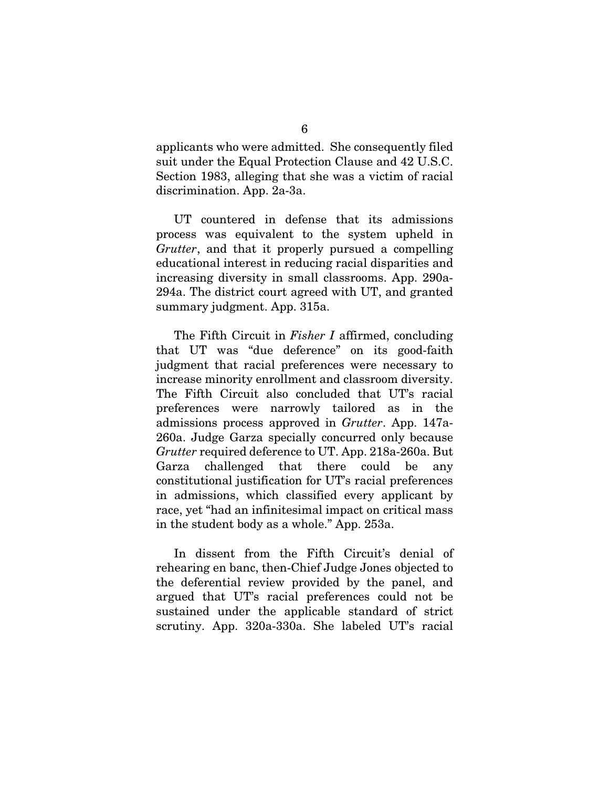applicants who were admitted. She consequently filed suit under the Equal Protection Clause and 42 U.S.C. Section 1983, alleging that she was a victim of racial discrimination. App. 2a-3a.

 UT countered in defense that its admissions process was equivalent to the system upheld in *Grutter*, and that it properly pursued a compelling educational interest in reducing racial disparities and increasing diversity in small classrooms. App. 290a-294a. The district court agreed with UT, and granted summary judgment. App. 315a.

 The Fifth Circuit in *Fisher I* affirmed, concluding that UT was "due deference" on its good-faith judgment that racial preferences were necessary to increase minority enrollment and classroom diversity. The Fifth Circuit also concluded that UT's racial preferences were narrowly tailored as in the admissions process approved in *Grutter*. App. 147a-260a. Judge Garza specially concurred only because *Grutter* required deference to UT. App. 218a-260a. But Garza challenged that there could be any constitutional justification for UT's racial preferences in admissions, which classified every applicant by race, yet "had an infinitesimal impact on critical mass in the student body as a whole." App. 253a.

 In dissent from the Fifth Circuit's denial of rehearing en banc, then-Chief Judge Jones objected to the deferential review provided by the panel, and argued that UT's racial preferences could not be sustained under the applicable standard of strict scrutiny. App. 320a-330a. She labeled UT's racial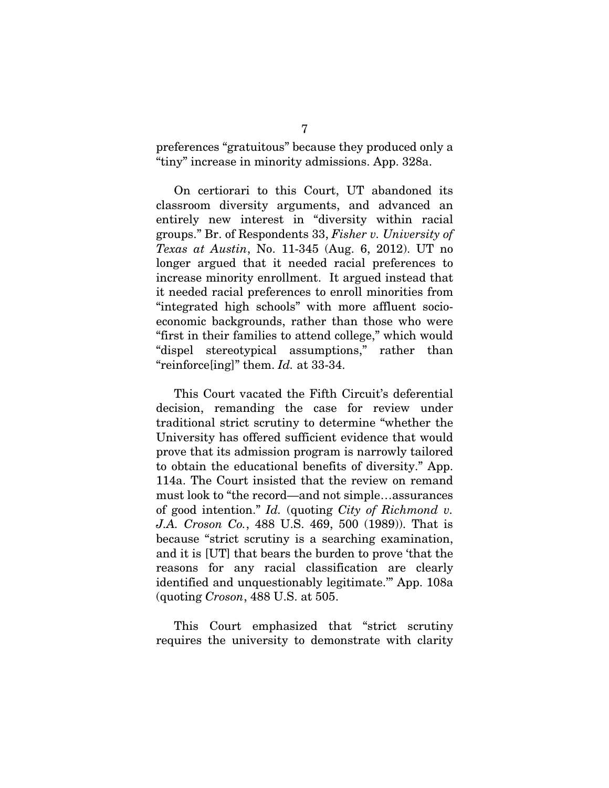preferences "gratuitous" because they produced only a "tiny" increase in minority admissions. App. 328a.

 On certiorari to this Court, UT abandoned its classroom diversity arguments, and advanced an entirely new interest in "diversity within racial groups." Br. of Respondents 33, *Fisher v. University of Texas at Austin*, No. 11-345 (Aug. 6, 2012). UT no longer argued that it needed racial preferences to increase minority enrollment. It argued instead that it needed racial preferences to enroll minorities from "integrated high schools" with more affluent socioeconomic backgrounds, rather than those who were "first in their families to attend college," which would "dispel stereotypical assumptions," rather than "reinforce[ing]" them. *Id.* at 33-34.

 This Court vacated the Fifth Circuit's deferential decision, remanding the case for review under traditional strict scrutiny to determine "whether the University has offered sufficient evidence that would prove that its admission program is narrowly tailored to obtain the educational benefits of diversity." App. 114a. The Court insisted that the review on remand must look to "the record—and not simple…assurances of good intention." *Id.* (quoting *City of Richmond v. J.A. Croson Co.*, 488 U.S. 469, 500 (1989)). That is because "strict scrutiny is a searching examination, and it is [UT] that bears the burden to prove 'that the reasons for any racial classification are clearly identified and unquestionably legitimate.'" App. 108a (quoting *Croson*, 488 U.S. at 505.

 This Court emphasized that "strict scrutiny requires the university to demonstrate with clarity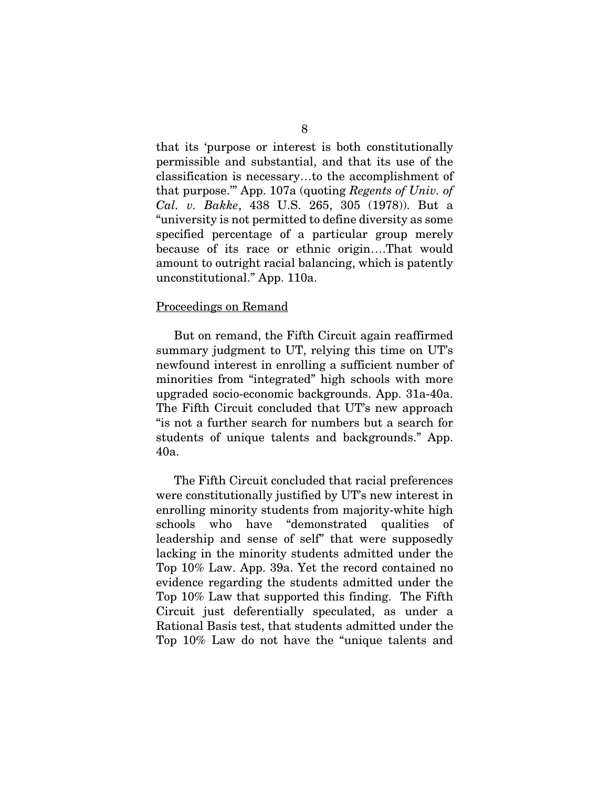that its 'purpose or interest is both constitutionally permissible and substantial, and that its use of the classification is necessary…to the accomplishment of that purpose.'" App. 107a (quoting *Regents of Univ. of Cal. v. Bakke*, 438 U.S. 265, 305 (1978)). But a "university is not permitted to define diversity as some specified percentage of a particular group merely because of its race or ethnic origin….That would amount to outright racial balancing, which is patently unconstitutional." App. 110a.

#### Proceedings on Remand

 But on remand, the Fifth Circuit again reaffirmed summary judgment to UT, relying this time on UT's newfound interest in enrolling a sufficient number of minorities from "integrated" high schools with more upgraded socio-economic backgrounds. App. 31a-40a. The Fifth Circuit concluded that UT's new approach "is not a further search for numbers but a search for students of unique talents and backgrounds." App. 40a.

 The Fifth Circuit concluded that racial preferences were constitutionally justified by UT's new interest in enrolling minority students from majority-white high schools who have "demonstrated qualities of leadership and sense of self" that were supposedly lacking in the minority students admitted under the Top 10% Law. App. 39a. Yet the record contained no evidence regarding the students admitted under the Top 10% Law that supported this finding. The Fifth Circuit just deferentially speculated, as under a Rational Basis test, that students admitted under the Top 10% Law do not have the "unique talents and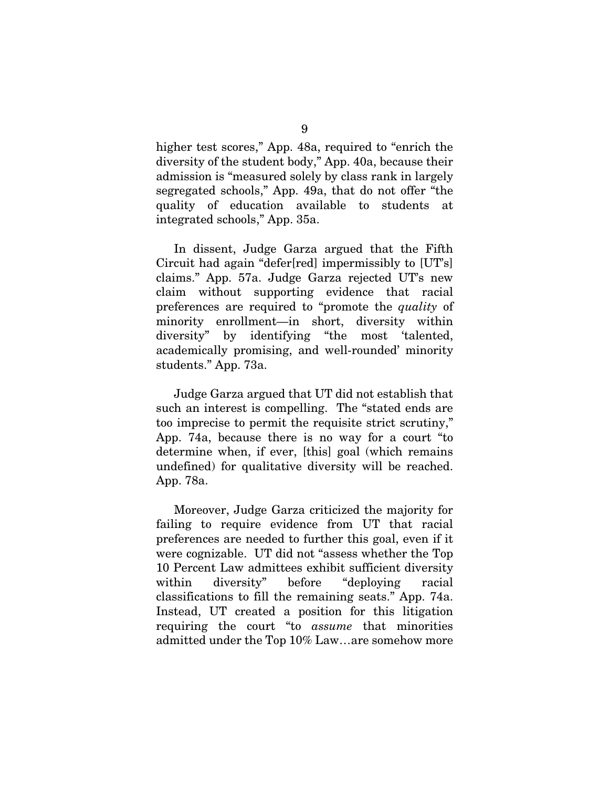higher test scores," App. 48a, required to "enrich the diversity of the student body," App. 40a, because their admission is "measured solely by class rank in largely segregated schools," App. 49a, that do not offer "the quality of education available to students at integrated schools," App. 35a.

 In dissent, Judge Garza argued that the Fifth Circuit had again "defer[red] impermissibly to [UT's] claims." App. 57a. Judge Garza rejected UT's new claim without supporting evidence that racial preferences are required to "promote the *quality* of minority enrollment—in short, diversity within diversity" by identifying "the most 'talented, academically promising, and well-rounded' minority students." App. 73a.

 Judge Garza argued that UT did not establish that such an interest is compelling. The "stated ends are too imprecise to permit the requisite strict scrutiny," App. 74a, because there is no way for a court "to determine when, if ever, [this] goal (which remains undefined) for qualitative diversity will be reached. App. 78a.

 Moreover, Judge Garza criticized the majority for failing to require evidence from UT that racial preferences are needed to further this goal, even if it were cognizable. UT did not "assess whether the Top 10 Percent Law admittees exhibit sufficient diversity within diversity" before "deploying racial classifications to fill the remaining seats." App. 74a. Instead, UT created a position for this litigation requiring the court "to *assume* that minorities admitted under the Top 10% Law…are somehow more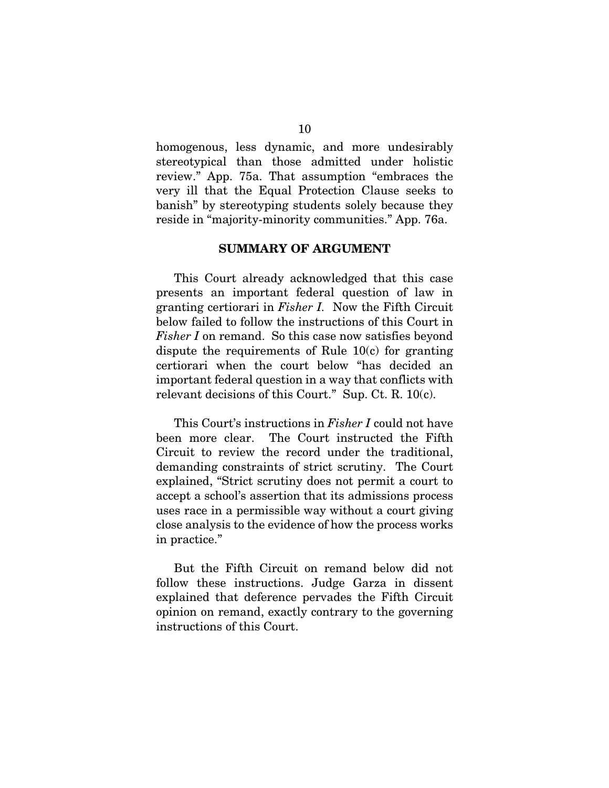homogenous, less dynamic, and more undesirably stereotypical than those admitted under holistic review." App. 75a. That assumption "embraces the very ill that the Equal Protection Clause seeks to banish" by stereotyping students solely because they reside in "majority-minority communities." App. 76a.

### SUMMARY OF ARGUMENT

 This Court already acknowledged that this case presents an important federal question of law in granting certiorari in *Fisher I.* Now the Fifth Circuit below failed to follow the instructions of this Court in *Fisher I* on remand. So this case now satisfies beyond dispute the requirements of Rule 10(c) for granting certiorari when the court below "has decided an important federal question in a way that conflicts with relevant decisions of this Court." Sup. Ct. R. 10(c).

 This Court's instructions in *Fisher I* could not have been more clear. The Court instructed the Fifth Circuit to review the record under the traditional, demanding constraints of strict scrutiny. The Court explained, "Strict scrutiny does not permit a court to accept a school's assertion that its admissions process uses race in a permissible way without a court giving close analysis to the evidence of how the process works in practice."

 But the Fifth Circuit on remand below did not follow these instructions. Judge Garza in dissent explained that deference pervades the Fifth Circuit opinion on remand, exactly contrary to the governing instructions of this Court.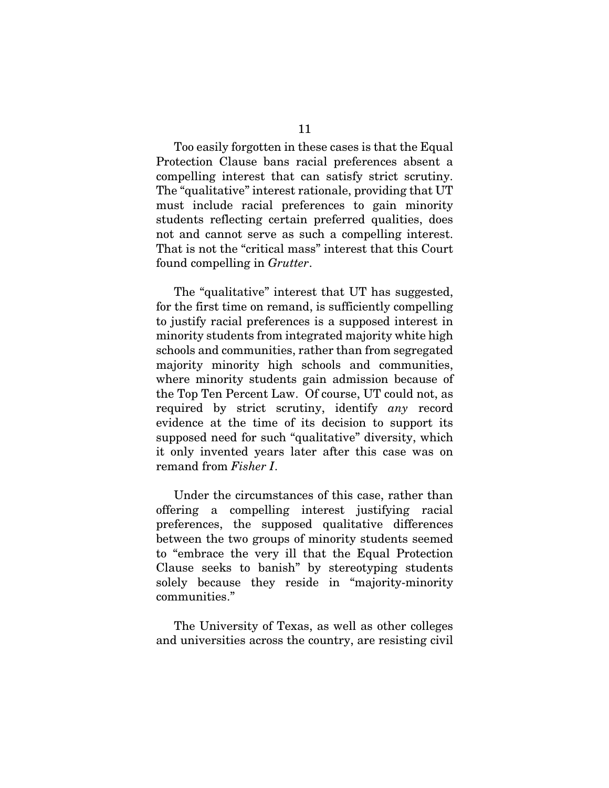Too easily forgotten in these cases is that the Equal Protection Clause bans racial preferences absent a compelling interest that can satisfy strict scrutiny. The "qualitative" interest rationale, providing that UT must include racial preferences to gain minority students reflecting certain preferred qualities, does not and cannot serve as such a compelling interest. That is not the "critical mass" interest that this Court found compelling in *Grutter*.

 The "qualitative" interest that UT has suggested, for the first time on remand, is sufficiently compelling to justify racial preferences is a supposed interest in minority students from integrated majority white high schools and communities, rather than from segregated majority minority high schools and communities, where minority students gain admission because of the Top Ten Percent Law. Of course, UT could not, as required by strict scrutiny, identify *any* record evidence at the time of its decision to support its supposed need for such "qualitative" diversity, which it only invented years later after this case was on remand from *Fisher I*.

 Under the circumstances of this case, rather than offering a compelling interest justifying racial preferences, the supposed qualitative differences between the two groups of minority students seemed to "embrace the very ill that the Equal Protection Clause seeks to banish" by stereotyping students solely because they reside in "majority-minority communities."

 The University of Texas, as well as other colleges and universities across the country, are resisting civil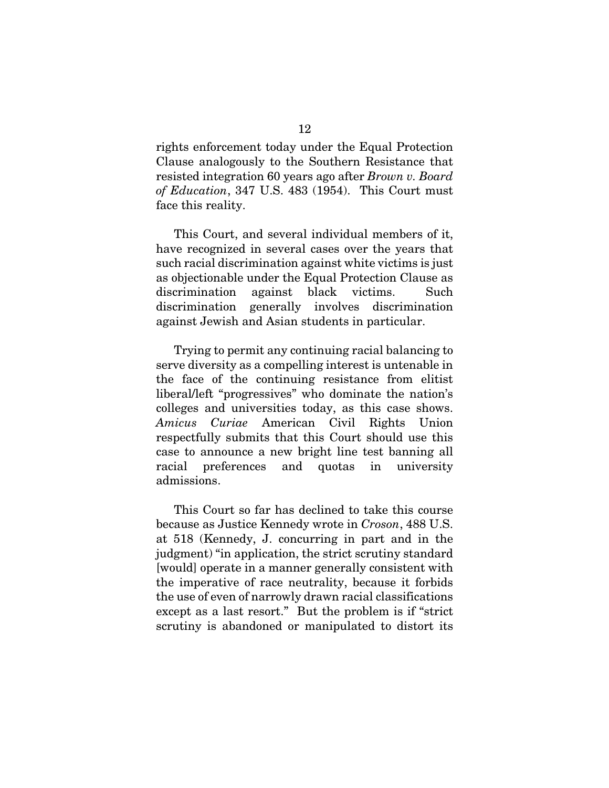rights enforcement today under the Equal Protection Clause analogously to the Southern Resistance that resisted integration 60 years ago after *Brown v. Board of Education*, 347 U.S. 483 (1954). This Court must face this reality.

 This Court, and several individual members of it, have recognized in several cases over the years that such racial discrimination against white victims is just as objectionable under the Equal Protection Clause as discrimination against black victims. Such discrimination generally involves discrimination against Jewish and Asian students in particular.

 Trying to permit any continuing racial balancing to serve diversity as a compelling interest is untenable in the face of the continuing resistance from elitist liberal/left "progressives" who dominate the nation's colleges and universities today, as this case shows. *Amicus Curiae* American Civil Rights Union respectfully submits that this Court should use this case to announce a new bright line test banning all racial preferences and quotas in university admissions.

 This Court so far has declined to take this course because as Justice Kennedy wrote in *Croson*, 488 U.S. at 518 (Kennedy, J. concurring in part and in the judgment) "in application, the strict scrutiny standard [would] operate in a manner generally consistent with the imperative of race neutrality, because it forbids the use of even of narrowly drawn racial classifications except as a last resort." But the problem is if "strict scrutiny is abandoned or manipulated to distort its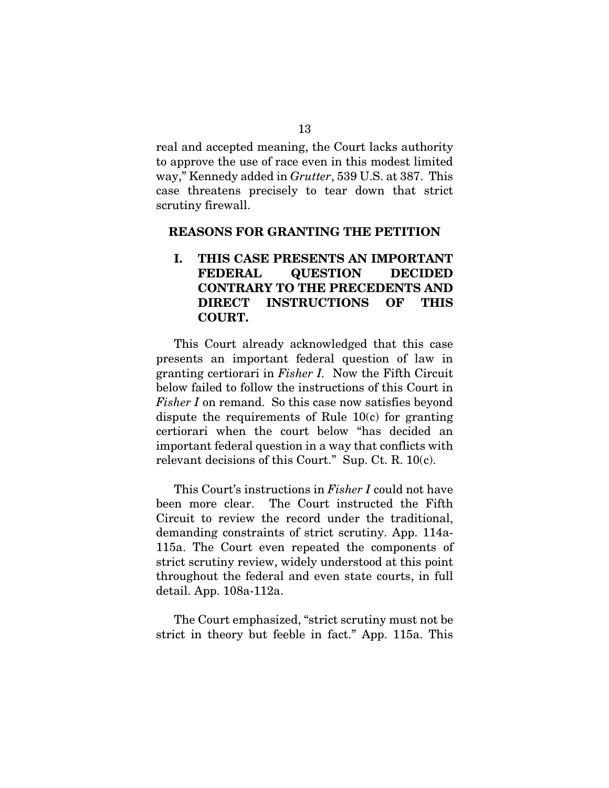real and accepted meaning, the Court lacks authority to approve the use of race even in this modest limited way," Kennedy added in *Grutter*, 539 U.S. at 387. This case threatens precisely to tear down that strict scrutiny firewall.

### REASONS FOR GRANTING THE PETITION

## I. THIS CASE PRESENTS AN IMPORTANT FEDERAL QUESTION DECIDED CONTRARY TO THE PRECEDENTS AND DIRECT INSTRUCTIONS OF THIS COURT.

 This Court already acknowledged that this case presents an important federal question of law in granting certiorari in *Fisher I.* Now the Fifth Circuit below failed to follow the instructions of this Court in *Fisher I* on remand. So this case now satisfies beyond dispute the requirements of Rule 10(c) for granting certiorari when the court below "has decided an important federal question in a way that conflicts with relevant decisions of this Court." Sup. Ct. R. 10(c).

 This Court's instructions in *Fisher I* could not have been more clear. The Court instructed the Fifth Circuit to review the record under the traditional, demanding constraints of strict scrutiny. App. 114a-115a. The Court even repeated the components of strict scrutiny review, widely understood at this point throughout the federal and even state courts, in full detail. App. 108a-112a.

 The Court emphasized, "strict scrutiny must not be strict in theory but feeble in fact." App. 115a. This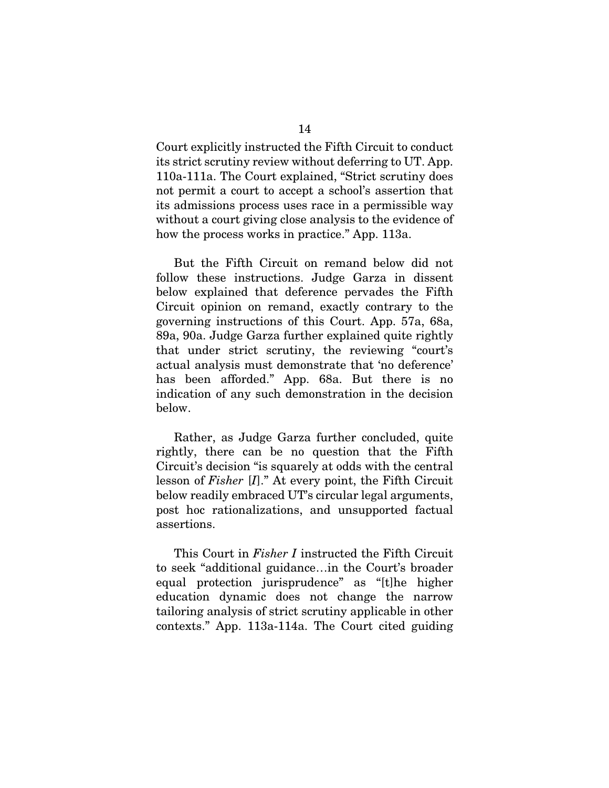Court explicitly instructed the Fifth Circuit to conduct its strict scrutiny review without deferring to UT. App. 110a-111a. The Court explained, "Strict scrutiny does not permit a court to accept a school's assertion that its admissions process uses race in a permissible way without a court giving close analysis to the evidence of how the process works in practice." App. 113a.

 But the Fifth Circuit on remand below did not follow these instructions. Judge Garza in dissent below explained that deference pervades the Fifth Circuit opinion on remand, exactly contrary to the governing instructions of this Court. App. 57a, 68a, 89a, 90a. Judge Garza further explained quite rightly that under strict scrutiny, the reviewing "court's actual analysis must demonstrate that 'no deference' has been afforded." App. 68a. But there is no indication of any such demonstration in the decision below.

 Rather, as Judge Garza further concluded, quite rightly, there can be no question that the Fifth Circuit's decision "is squarely at odds with the central lesson of *Fisher* [*I*]." At every point, the Fifth Circuit below readily embraced UT's circular legal arguments, post hoc rationalizations, and unsupported factual assertions.

 This Court in *Fisher I* instructed the Fifth Circuit to seek "additional guidance…in the Court's broader equal protection jurisprudence" as "[t]he higher education dynamic does not change the narrow tailoring analysis of strict scrutiny applicable in other contexts." App. 113a-114a. The Court cited guiding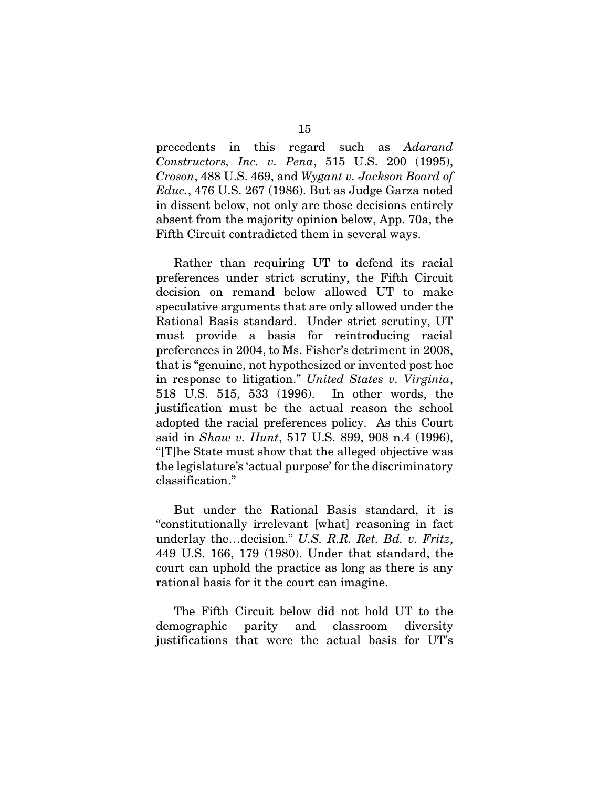precedents in this regard such as *Adarand Constructors, Inc. v. Pena*, 515 U.S. 200 (1995), *Croson*, 488 U.S. 469, and *Wygant v. Jackson Board of Educ.*, 476 U.S. 267 (1986). But as Judge Garza noted in dissent below, not only are those decisions entirely absent from the majority opinion below, App. 70a, the Fifth Circuit contradicted them in several ways.

 Rather than requiring UT to defend its racial preferences under strict scrutiny, the Fifth Circuit decision on remand below allowed UT to make speculative arguments that are only allowed under the Rational Basis standard. Under strict scrutiny, UT must provide a basis for reintroducing racial preferences in 2004, to Ms. Fisher's detriment in 2008, that is "genuine, not hypothesized or invented post hoc in response to litigation." *United States v. Virginia*, 518 U.S. 515, 533 (1996). In other words, the justification must be the actual reason the school adopted the racial preferences policy. As this Court said in *Shaw v. Hunt*, 517 U.S. 899, 908 n.4 (1996), "[T]he State must show that the alleged objective was the legislature's 'actual purpose' for the discriminatory classification."

 But under the Rational Basis standard, it is "constitutionally irrelevant [what] reasoning in fact underlay the…decision." *U.S. R.R. Ret. Bd. v. Fritz*, 449 U.S. 166, 179 (1980). Under that standard, the court can uphold the practice as long as there is any rational basis for it the court can imagine.

 The Fifth Circuit below did not hold UT to the demographic parity and classroom diversity justifications that were the actual basis for UT's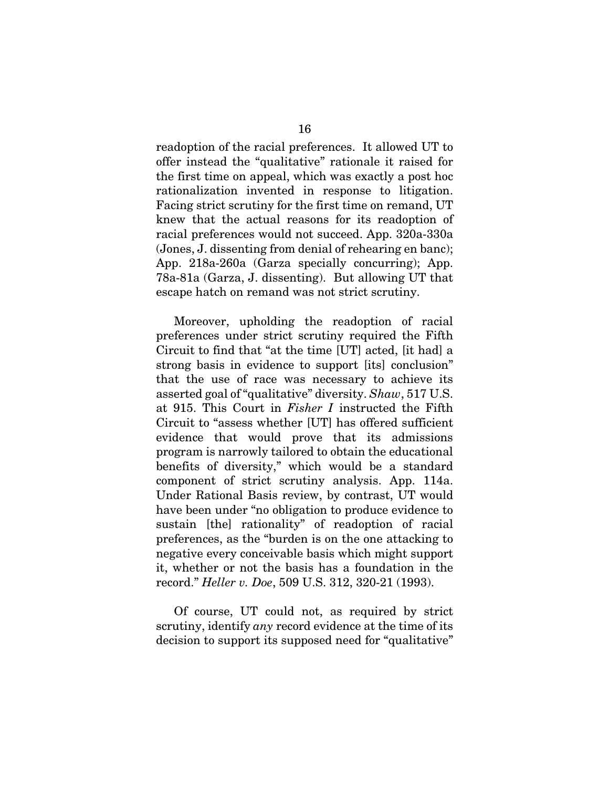readoption of the racial preferences. It allowed UT to offer instead the "qualitative" rationale it raised for the first time on appeal, which was exactly a post hoc rationalization invented in response to litigation. Facing strict scrutiny for the first time on remand, UT knew that the actual reasons for its readoption of racial preferences would not succeed. App. 320a-330a (Jones, J. dissenting from denial of rehearing en banc); App. 218a-260a (Garza specially concurring); App. 78a-81a (Garza, J. dissenting). But allowing UT that escape hatch on remand was not strict scrutiny.

 Moreover, upholding the readoption of racial preferences under strict scrutiny required the Fifth Circuit to find that "at the time [UT] acted, [it had] a strong basis in evidence to support [its] conclusion" that the use of race was necessary to achieve its asserted goal of "qualitative" diversity. *Shaw*, 517 U.S. at 915. This Court in *Fisher I* instructed the Fifth Circuit to "assess whether [UT] has offered sufficient evidence that would prove that its admissions program is narrowly tailored to obtain the educational benefits of diversity," which would be a standard component of strict scrutiny analysis. App. 114a. Under Rational Basis review, by contrast, UT would have been under "no obligation to produce evidence to sustain [the] rationality" of readoption of racial preferences, as the "burden is on the one attacking to negative every conceivable basis which might support it, whether or not the basis has a foundation in the record." *Heller v. Doe*, 509 U.S. 312, 320-21 (1993).

 Of course, UT could not, as required by strict scrutiny, identify *any* record evidence at the time of its decision to support its supposed need for "qualitative"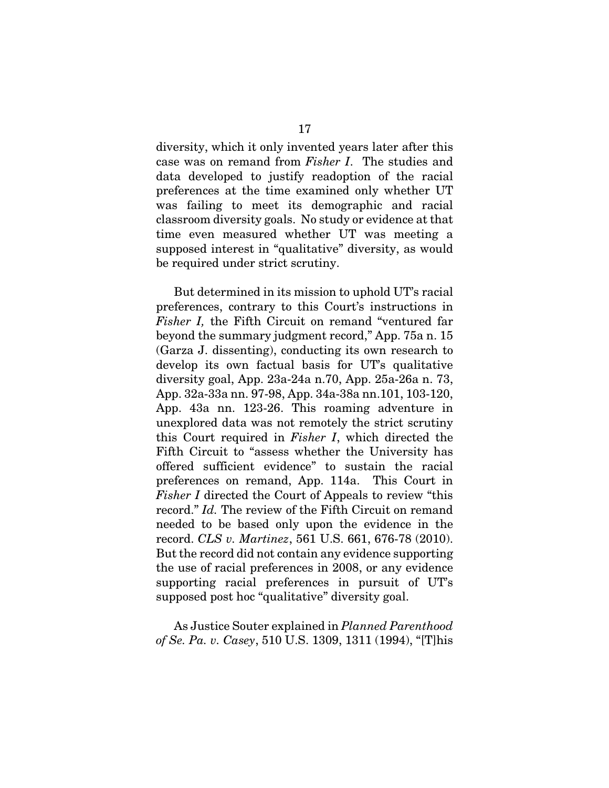diversity, which it only invented years later after this case was on remand from *Fisher I*. The studies and data developed to justify readoption of the racial preferences at the time examined only whether UT was failing to meet its demographic and racial classroom diversity goals. No study or evidence at that time even measured whether UT was meeting a supposed interest in "qualitative" diversity, as would be required under strict scrutiny.

 But determined in its mission to uphold UT's racial preferences, contrary to this Court's instructions in *Fisher I,* the Fifth Circuit on remand "ventured far beyond the summary judgment record," App. 75a n. 15 (Garza J. dissenting), conducting its own research to develop its own factual basis for UT's qualitative diversity goal, App. 23a-24a n.70, App. 25a-26a n. 73, App. 32a-33a nn. 97-98, App. 34a-38a nn.101, 103-120, App. 43a nn. 123-26. This roaming adventure in unexplored data was not remotely the strict scrutiny this Court required in *Fisher I*, which directed the Fifth Circuit to "assess whether the University has offered sufficient evidence" to sustain the racial preferences on remand, App. 114a. This Court in *Fisher I* directed the Court of Appeals to review "this record." *Id.* The review of the Fifth Circuit on remand needed to be based only upon the evidence in the record. *CLS v. Martinez*, 561 U.S. 661, 676-78 (2010). But the record did not contain any evidence supporting the use of racial preferences in 2008, or any evidence supporting racial preferences in pursuit of UT's supposed post hoc "qualitative" diversity goal.

 As Justice Souter explained in *Planned Parenthood of Se. Pa. v. Casey*, 510 U.S. 1309, 1311 (1994), "[T]his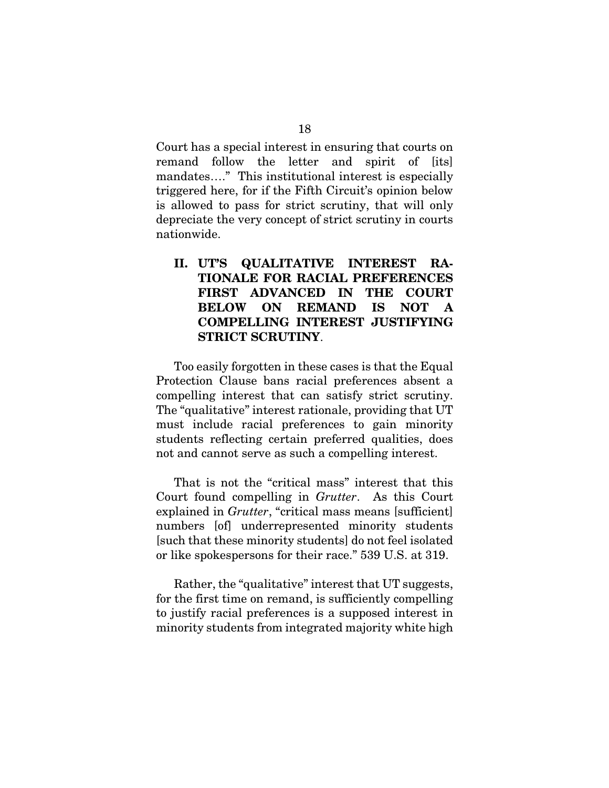Court has a special interest in ensuring that courts on remand follow the letter and spirit of [its] mandates…." This institutional interest is especially triggered here, for if the Fifth Circuit's opinion below is allowed to pass for strict scrutiny, that will only depreciate the very concept of strict scrutiny in courts nationwide.

## II. UT'S QUALITATIVE INTEREST RA-TIONALE FOR RACIAL PREFERENCES FIRST ADVANCED IN THE COURT BELOW ON REMAND IS NOT A COMPELLING INTEREST JUSTIFYING STRICT SCRUTINY.

 Too easily forgotten in these cases is that the Equal Protection Clause bans racial preferences absent a compelling interest that can satisfy strict scrutiny. The "qualitative" interest rationale, providing that UT must include racial preferences to gain minority students reflecting certain preferred qualities, does not and cannot serve as such a compelling interest.

 That is not the "critical mass" interest that this Court found compelling in *Grutter*. As this Court explained in *Grutter*, "critical mass means [sufficient] numbers [of] underrepresented minority students [such that these minority students] do not feel isolated or like spokespersons for their race." 539 U.S. at 319.

 Rather, the "qualitative" interest that UT suggests, for the first time on remand, is sufficiently compelling to justify racial preferences is a supposed interest in minority students from integrated majority white high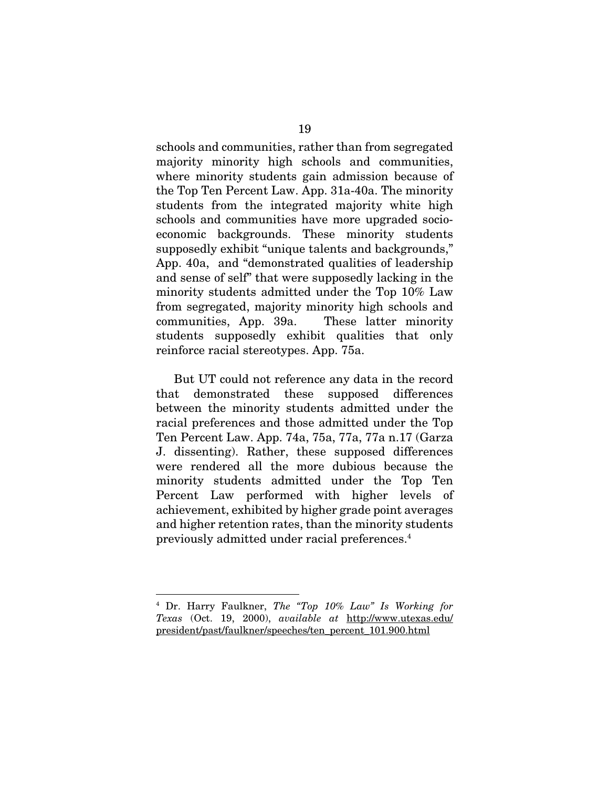schools and communities, rather than from segregated majority minority high schools and communities, where minority students gain admission because of the Top Ten Percent Law. App. 31a-40a. The minority students from the integrated majority white high schools and communities have more upgraded socioeconomic backgrounds. These minority students supposedly exhibit "unique talents and backgrounds," App. 40a, and "demonstrated qualities of leadership and sense of self" that were supposedly lacking in the minority students admitted under the Top 10% Law from segregated, majority minority high schools and communities, App. 39a. These latter minority students supposedly exhibit qualities that only reinforce racial stereotypes. App. 75a.

 But UT could not reference any data in the record that demonstrated these supposed differences between the minority students admitted under the racial preferences and those admitted under the Top Ten Percent Law. App. 74a, 75a, 77a, 77a n.17 (Garza J. dissenting). Rather, these supposed differences were rendered all the more dubious because the minority students admitted under the Top Ten Percent Law performed with higher levels of achievement, exhibited by higher grade point averages and higher retention rates, than the minority students previously admitted under racial preferences.4

1

<sup>4</sup> Dr. Harry Faulkner, *The "Top 10% Law" Is Working for Texas* (Oct. 19, 2000), *available at* http://www.utexas.edu/ president/past/faulkner/speeches/ten\_percent\_101.900.html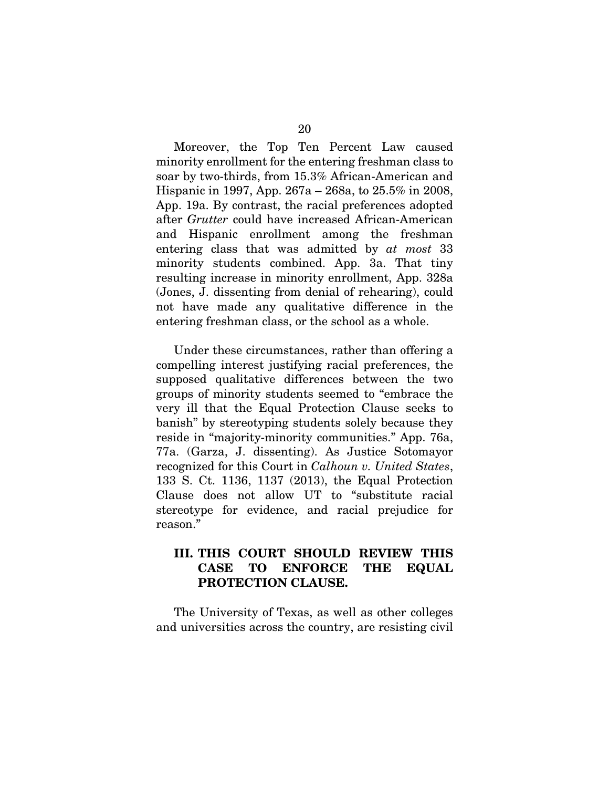Moreover, the Top Ten Percent Law caused minority enrollment for the entering freshman class to soar by two-thirds, from 15.3% African-American and Hispanic in 1997, App. 267a – 268a, to 25.5% in 2008, App. 19a. By contrast, the racial preferences adopted after *Grutter* could have increased African-American and Hispanic enrollment among the freshman entering class that was admitted by *at most* 33 minority students combined. App. 3a. That tiny resulting increase in minority enrollment, App. 328a (Jones, J. dissenting from denial of rehearing), could not have made any qualitative difference in the entering freshman class, or the school as a whole.

 Under these circumstances, rather than offering a compelling interest justifying racial preferences, the supposed qualitative differences between the two groups of minority students seemed to "embrace the very ill that the Equal Protection Clause seeks to banish" by stereotyping students solely because they reside in "majority-minority communities." App. 76a, 77a. (Garza, J. dissenting). As Justice Sotomayor recognized for this Court in *Calhoun v. United States*, 133 S. Ct. 1136, 1137 (2013), the Equal Protection Clause does not allow UT to "substitute racial stereotype for evidence, and racial prejudice for reason."

## III. THIS COURT SHOULD REVIEW THIS CASE TO ENFORCE THE EQUAL PROTECTION CLAUSE.

 The University of Texas, as well as other colleges and universities across the country, are resisting civil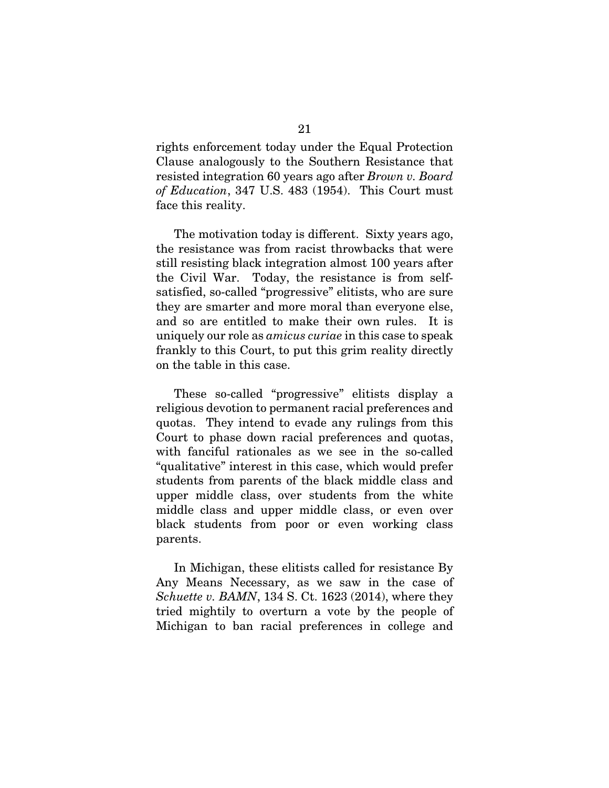rights enforcement today under the Equal Protection Clause analogously to the Southern Resistance that resisted integration 60 years ago after *Brown v. Board of Education*, 347 U.S. 483 (1954). This Court must face this reality.

 The motivation today is different. Sixty years ago, the resistance was from racist throwbacks that were still resisting black integration almost 100 years after the Civil War. Today, the resistance is from selfsatisfied, so-called "progressive" elitists, who are sure they are smarter and more moral than everyone else, and so are entitled to make their own rules. It is uniquely our role as *amicus curiae* in this case to speak frankly to this Court, to put this grim reality directly on the table in this case.

 These so-called "progressive" elitists display a religious devotion to permanent racial preferences and quotas. They intend to evade any rulings from this Court to phase down racial preferences and quotas, with fanciful rationales as we see in the so-called "qualitative" interest in this case, which would prefer students from parents of the black middle class and upper middle class, over students from the white middle class and upper middle class, or even over black students from poor or even working class parents.

 In Michigan, these elitists called for resistance By Any Means Necessary, as we saw in the case of *Schuette v. BAMN*, 134 S. Ct. 1623 (2014), where they tried mightily to overturn a vote by the people of Michigan to ban racial preferences in college and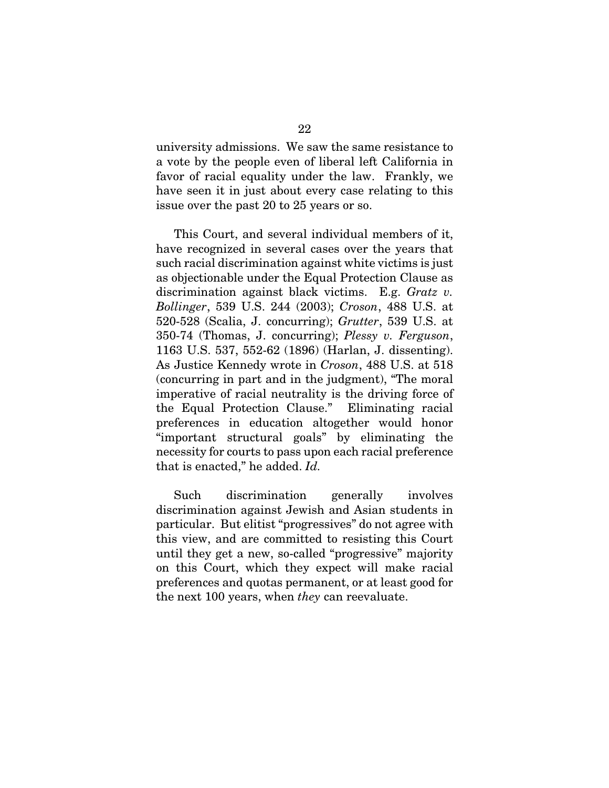university admissions. We saw the same resistance to a vote by the people even of liberal left California in favor of racial equality under the law. Frankly, we have seen it in just about every case relating to this issue over the past 20 to 25 years or so.

 This Court, and several individual members of it, have recognized in several cases over the years that such racial discrimination against white victims is just as objectionable under the Equal Protection Clause as discrimination against black victims. E.g. *Gratz v. Bollinger*, 539 U.S. 244 (2003); *Croson*, 488 U.S. at 520-528 (Scalia, J. concurring); *Grutter*, 539 U.S. at 350-74 (Thomas, J. concurring); *Plessy v. Ferguson*, 1163 U.S. 537, 552-62 (1896) (Harlan, J. dissenting). As Justice Kennedy wrote in *Croson*, 488 U.S. at 518 (concurring in part and in the judgment), "The moral imperative of racial neutrality is the driving force of the Equal Protection Clause." Eliminating racial preferences in education altogether would honor "important structural goals" by eliminating the necessity for courts to pass upon each racial preference that is enacted," he added. *Id.*

 Such discrimination generally involves discrimination against Jewish and Asian students in particular. But elitist "progressives" do not agree with this view, and are committed to resisting this Court until they get a new, so-called "progressive" majority on this Court, which they expect will make racial preferences and quotas permanent, or at least good for the next 100 years, when *they* can reevaluate.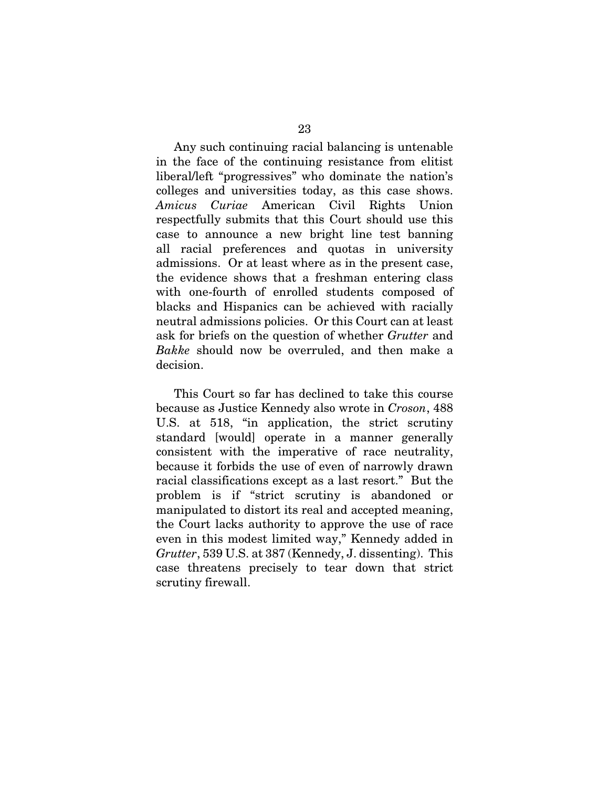Any such continuing racial balancing is untenable in the face of the continuing resistance from elitist liberal/left "progressives" who dominate the nation's colleges and universities today, as this case shows. *Amicus Curiae* American Civil Rights Union respectfully submits that this Court should use this case to announce a new bright line test banning all racial preferences and quotas in university admissions. Or at least where as in the present case, the evidence shows that a freshman entering class with one-fourth of enrolled students composed of blacks and Hispanics can be achieved with racially neutral admissions policies. Or this Court can at least ask for briefs on the question of whether *Grutter* and *Bakke* should now be overruled, and then make a decision.

 This Court so far has declined to take this course because as Justice Kennedy also wrote in *Croson*, 488 U.S. at 518, "in application, the strict scrutiny standard [would] operate in a manner generally consistent with the imperative of race neutrality, because it forbids the use of even of narrowly drawn racial classifications except as a last resort." But the problem is if "strict scrutiny is abandoned or manipulated to distort its real and accepted meaning, the Court lacks authority to approve the use of race even in this modest limited way," Kennedy added in *Grutter*, 539 U.S. at 387 (Kennedy, J. dissenting). This case threatens precisely to tear down that strict scrutiny firewall.